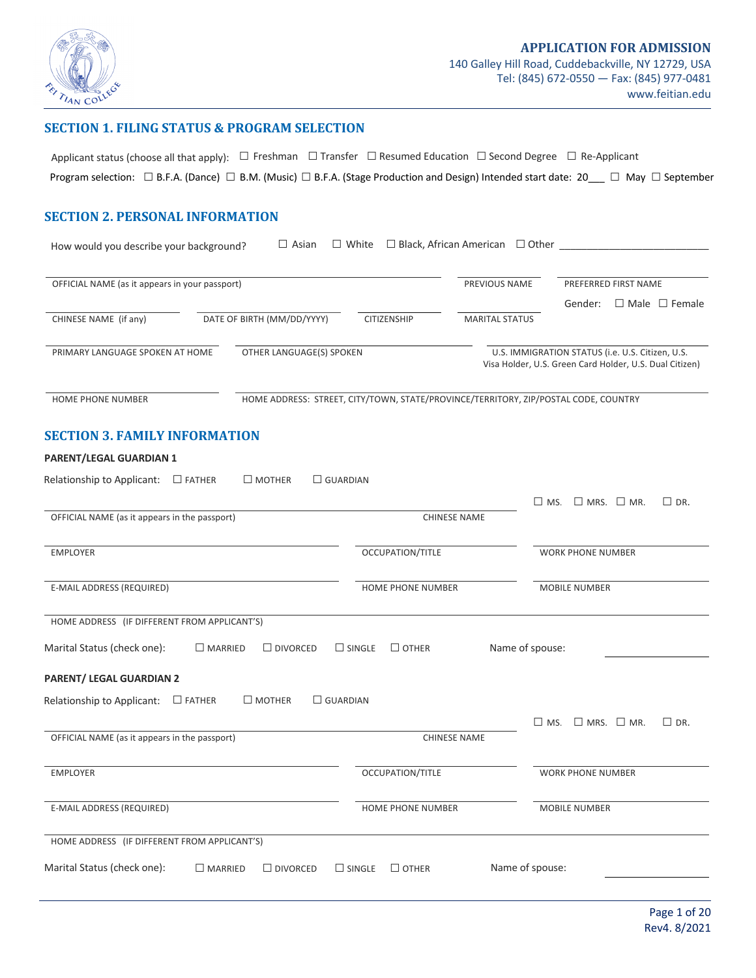

#### **SECTION 1. FILING STATUS & PROGRAM SELECTION**

Applicant status (choose all that apply): □ Freshman □ Transfer □ Resumed Education □ Second Degree □ Re-Applicant Program selection: □ B.F.A. (Dance) □ B.M. (Music) □ B.F.A. (Stage Production and Design) Intended start date: 20\_\_\_ □ May □ September

### **SECTION 2. PERSONAL INFORMATION**

| $\Box$ Asian<br>How would you describe your background?             | $\Box$ White                                                                        | $\Box$ Black, African American $\Box$ Other |                                                                                                             |
|---------------------------------------------------------------------|-------------------------------------------------------------------------------------|---------------------------------------------|-------------------------------------------------------------------------------------------------------------|
| OFFICIAL NAME (as it appears in your passport)                      |                                                                                     | PREVIOUS NAME                               | PREFERRED FIRST NAME<br>Gender:<br>$\Box$ Male $\Box$ Female                                                |
| CHINESE NAME (if any)<br>DATE OF BIRTH (MM/DD/YYYY)                 | CITIZENSHIP                                                                         | <b>MARITAL STATUS</b>                       |                                                                                                             |
| OTHER LANGUAGE(S) SPOKEN<br>PRIMARY LANGUAGE SPOKEN AT HOME         |                                                                                     |                                             | U.S. IMMIGRATION STATUS (i.e. U.S. Citizen, U.S.<br>Visa Holder, U.S. Green Card Holder, U.S. Dual Citizen) |
| <b>HOME PHONE NUMBER</b>                                            | HOME ADDRESS: STREET, CITY/TOWN, STATE/PROVINCE/TERRITORY, ZIP/POSTAL CODE, COUNTRY |                                             |                                                                                                             |
| <b>SECTION 3. FAMILY INFORMATION</b>                                |                                                                                     |                                             |                                                                                                             |
| PARENT/LEGAL GUARDIAN 1                                             |                                                                                     |                                             |                                                                                                             |
| Relationship to Applicant: $\Box$ FATHER<br>$\square$ MOTHER        | $\Box$ GUARDIAN                                                                     |                                             | $\Box$ MRS. $\Box$ MR.<br>$\square$ DR.<br>$\square$ MS.                                                    |
| OFFICIAL NAME (as it appears in the passport)                       |                                                                                     | <b>CHINESE NAME</b>                         |                                                                                                             |
| <b>EMPLOYER</b>                                                     | OCCUPATION/TITLE                                                                    |                                             | <b>WORK PHONE NUMBER</b>                                                                                    |
| E-MAIL ADDRESS (REQUIRED)                                           | HOME PHONE NUMBER                                                                   |                                             | MOBILE NUMBER                                                                                               |
| HOME ADDRESS (IF DIFFERENT FROM APPLICANT'S)                        |                                                                                     |                                             |                                                                                                             |
| Marital Status (check one):<br>$\Box$ MARRIED<br>$\Box$ DIVORCED    | $\Box$ SINGLE<br>$\Box$ OTHER                                                       | Name of spouse:                             |                                                                                                             |
| PARENT/ LEGAL GUARDIAN 2                                            |                                                                                     |                                             |                                                                                                             |
| $\square$ MOTHER<br>Relationship to Applicant:<br>$\Box$ FATHER     | $\Box$ GUARDIAN                                                                     |                                             |                                                                                                             |
| OFFICIAL NAME (as it appears in the passport)                       |                                                                                     | <b>CHINESE NAME</b>                         | $\square$ MRS. $\square$ MR.<br>$\square$ DR.<br>$\Box$ MS.                                                 |
| <b>EMPLOYER</b>                                                     | OCCUPATION/TITLE                                                                    |                                             | <b>WORK PHONE NUMBER</b>                                                                                    |
| E-MAIL ADDRESS (REQUIRED)                                           | HOME PHONE NUMBER                                                                   |                                             | MOBILE NUMBER                                                                                               |
| HOME ADDRESS (IF DIFFERENT FROM APPLICANT'S)                        |                                                                                     |                                             |                                                                                                             |
| Marital Status (check one):<br>$\square$ MARRIED<br>$\Box$ DIVORCED | $\square$ OTHER<br>$\Box$ SINGLE                                                    | Name of spouse:                             |                                                                                                             |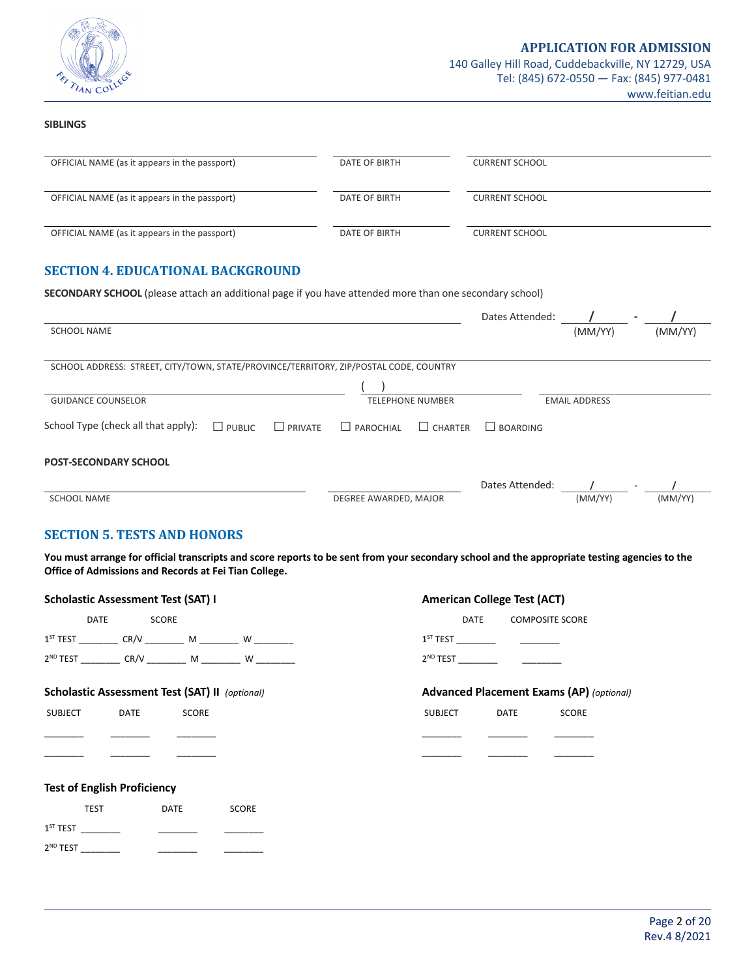

#### **SIBLINGS**

| OFFICIAL NAME (as it appears in the passport)                                                                  | DATE OF BIRTH                      | <b>CURRENT SCHOOL</b> |                      |         |
|----------------------------------------------------------------------------------------------------------------|------------------------------------|-----------------------|----------------------|---------|
| OFFICIAL NAME (as it appears in the passport)                                                                  | DATE OF BIRTH                      | <b>CURRENT SCHOOL</b> |                      |         |
| OFFICIAL NAME (as it appears in the passport)                                                                  | <b>DATE OF BIRTH</b>               | <b>CURRENT SCHOOL</b> |                      |         |
| <b>SECTION 4. EDUCATIONAL BACKGROUND</b>                                                                       |                                    |                       |                      |         |
| <b>SECONDARY SCHOOL</b> (please attach an additional page if you have attended more than one secondary school) |                                    |                       |                      |         |
|                                                                                                                |                                    | Dates Attended:       |                      |         |
| <b>SCHOOL NAME</b>                                                                                             |                                    |                       | (MM/YY)              | (MM/YY) |
| SCHOOL ADDRESS: STREET, CITY/TOWN, STATE/PROVINCE/TERRITORY, ZIP/POSTAL CODE, COUNTRY                          |                                    |                       |                      |         |
|                                                                                                                |                                    |                       |                      |         |
| <b>GUIDANCE COUNSELOR</b>                                                                                      | <b>TELEPHONE NUMBER</b>            |                       | <b>EMAIL ADDRESS</b> |         |
| School Type (check all that apply):<br>$\Box$ PUBLIC<br>$\Box$ PRIVATE                                         | $\Box$ PAROCHIAL<br>$\Box$ CHARTER | $\Box$ BOARDING       |                      |         |
| <b>POST-SECONDARY SCHOOL</b>                                                                                   |                                    |                       |                      |         |

|                    |                       | Dates Attended: |         |         |
|--------------------|-----------------------|-----------------|---------|---------|
| <b>SCHOOL NAME</b> | DEGREE AWARDED, MAJOR |                 | (MM/YY) | (MM/YY) |

### **SECTION 5. TESTS AND HONORS**

You must arrange for official transcripts and score reports to be sent from your secondary school and the appropriate testing agencies to the **Office of Admissions and Records at Fei Tian College.**

|                      | <b>Scholastic Assessment Test (SAT) I</b>                               |                                              |                                                                          | <b>American College Test (ACT)</b> |                        |                                                 |  |
|----------------------|-------------------------------------------------------------------------|----------------------------------------------|--------------------------------------------------------------------------|------------------------------------|------------------------|-------------------------------------------------|--|
|                      | <b>DATE</b>                                                             | SCORE                                        |                                                                          | DATE                               | <b>COMPOSITE SCORE</b> |                                                 |  |
|                      | 1 <sup>ST</sup> TEST ___________ CR/V _________ M _________ W _________ |                                              |                                                                          |                                    |                        |                                                 |  |
|                      |                                                                         |                                              | 2 <sup>ND</sup> TEST ____________ CR/V _________ M _________ W _________ |                                    |                        |                                                 |  |
|                      | <b>Scholastic Assessment Test (SAT) II</b> (optional)                   |                                              |                                                                          |                                    |                        | <b>Advanced Placement Exams (AP)</b> (optional) |  |
| SUBJECT              | DATE                                                                    | SCORE                                        |                                                                          | SUBJECT                            | DATE                   | SCORE                                           |  |
|                      |                                                                         |                                              |                                                                          |                                    |                        |                                                 |  |
|                      |                                                                         |                                              |                                                                          |                                    |                        |                                                 |  |
|                      | <b>Test of English Proficiency</b>                                      |                                              |                                                                          |                                    |                        |                                                 |  |
|                      | <b>TEST</b>                                                             | DATE                                         | <b>SCORE</b>                                                             |                                    |                        |                                                 |  |
|                      |                                                                         |                                              |                                                                          |                                    |                        |                                                 |  |
| 2 <sup>ND</sup> TEST |                                                                         | the control of the control of the control of |                                                                          |                                    |                        |                                                 |  |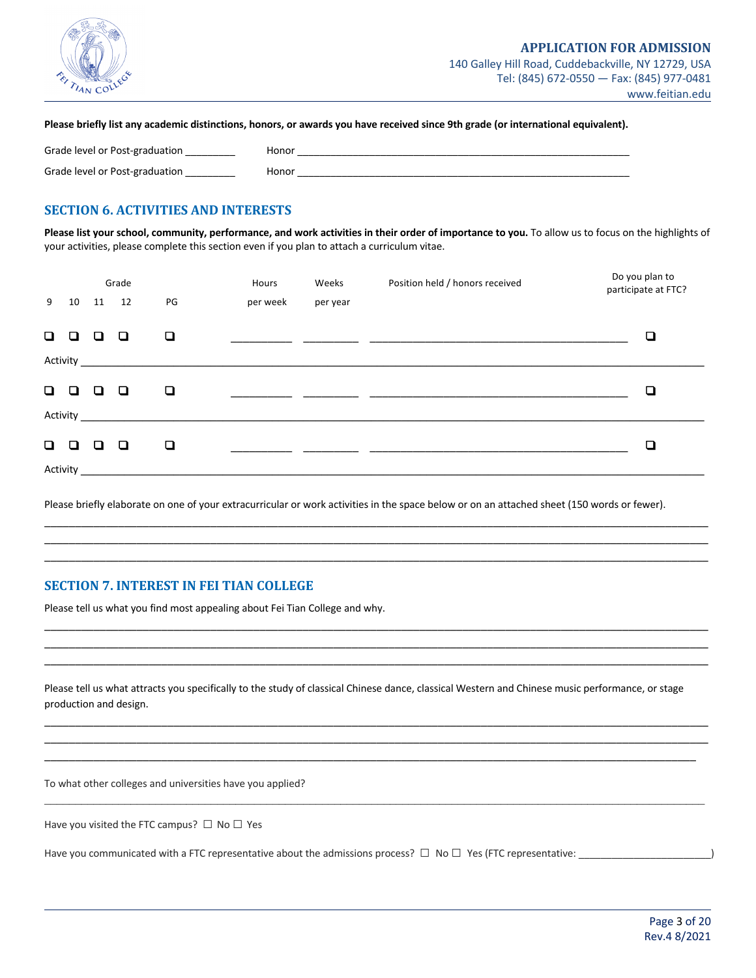

Please briefly list any academic distinctions, honors, or awards you have received since 9th grade (or international equivalent).

| Grade level or Post-graduation | Honor |
|--------------------------------|-------|
| Grade level or Post-graduation | Honor |

### **SECTION 6. ACTIVITIES AND INTERESTS**

Please list your school, community, performance, and work activities in their order of importance to you. To allow us to focus on the highlights of your activities, please complete this section even if you plan to attach a curriculum vitae.

|        |        |   | Grade    |                                                                                                                                                                                                                                      | Hours    | Weeks    | Position held / honors received | Do you plan to<br>participate at FTC? |
|--------|--------|---|----------|--------------------------------------------------------------------------------------------------------------------------------------------------------------------------------------------------------------------------------------|----------|----------|---------------------------------|---------------------------------------|
| 9      | 10     |   | 11 12    | PG                                                                                                                                                                                                                                   | per week | per year |                                 |                                       |
| $\Box$ | $\Box$ | □ | o        | ❏                                                                                                                                                                                                                                    |          |          |                                 | ◘                                     |
|        |        |   |          | Activity and the state of the state of the state of the state of the state of the state of the state of the state of the state of the state of the state of the state of the state of the state of the state of the state of t       |          |          |                                 |                                       |
| $\Box$ | D      | ◘ | o        | Q                                                                                                                                                                                                                                    |          |          |                                 | ◘                                     |
|        |        |   | Activity |                                                                                                                                                                                                                                      |          |          |                                 |                                       |
| $\Box$ | n      | ◘ | 0        | ❏                                                                                                                                                                                                                                    |          |          |                                 | ❏                                     |
|        |        |   |          | Activity <b>Exercise Service Service Service Service Service Service Service Service Service Service Service Service Service Service Service Service Service Service Service Service Service Service Service Service Service Ser</b> |          |          |                                 |                                       |

Please briefly elaborate on one of your extracurricular or work activities in the space below or on an attached sheet (150 words or fewer).

\_\_\_\_\_\_\_\_\_\_\_\_\_\_\_\_\_\_\_\_\_\_\_\_\_\_\_\_\_\_\_\_\_\_\_\_\_\_\_\_\_\_\_\_\_\_\_\_\_\_\_\_\_\_\_\_\_\_\_\_\_\_\_\_\_\_\_\_\_\_\_\_\_\_\_\_\_\_\_\_\_\_\_\_\_\_\_\_\_\_\_\_\_\_\_\_\_\_\_\_\_\_\_\_\_\_\_\_ \_\_\_\_\_\_\_\_\_\_\_\_\_\_\_\_\_\_\_\_\_\_\_\_\_\_\_\_\_\_\_\_\_\_\_\_\_\_\_\_\_\_\_\_\_\_\_\_\_\_\_\_\_\_\_\_\_\_\_\_\_\_\_\_\_\_\_\_\_\_\_\_\_\_\_\_\_\_\_\_\_\_\_\_\_\_\_\_\_\_\_\_\_\_\_\_\_\_\_\_\_\_\_\_\_\_\_\_ \_\_\_\_\_\_\_\_\_\_\_\_\_\_\_\_\_\_\_\_\_\_\_\_\_\_\_\_\_\_\_\_\_\_\_\_\_\_\_\_\_\_\_\_\_\_\_\_\_\_\_\_\_\_\_\_\_\_\_\_\_\_\_\_\_\_\_\_\_\_\_\_\_\_\_\_\_\_\_\_\_\_\_\_\_\_\_\_\_\_\_\_\_\_\_\_\_\_\_\_\_\_\_\_\_\_\_\_

\_\_\_\_\_\_\_\_\_\_\_\_\_\_\_\_\_\_\_\_\_\_\_\_\_\_\_\_\_\_\_\_\_\_\_\_\_\_\_\_\_\_\_\_\_\_\_\_\_\_\_\_\_\_\_\_\_\_\_\_\_\_\_\_\_\_\_\_\_\_\_\_\_\_\_\_\_\_\_\_\_\_\_\_\_\_\_\_\_\_\_\_\_\_\_\_\_\_\_\_\_\_\_\_\_\_\_\_ \_\_\_\_\_\_\_\_\_\_\_\_\_\_\_\_\_\_\_\_\_\_\_\_\_\_\_\_\_\_\_\_\_\_\_\_\_\_\_\_\_\_\_\_\_\_\_\_\_\_\_\_\_\_\_\_\_\_\_\_\_\_\_\_\_\_\_\_\_\_\_\_\_\_\_\_\_\_\_\_\_\_\_\_\_\_\_\_\_\_\_\_\_\_\_\_\_\_\_\_\_\_\_\_\_\_\_\_ \_\_\_\_\_\_\_\_\_\_\_\_\_\_\_\_\_\_\_\_\_\_\_\_\_\_\_\_\_\_\_\_\_\_\_\_\_\_\_\_\_\_\_\_\_\_\_\_\_\_\_\_\_\_\_\_\_\_\_\_\_\_\_\_\_\_\_\_\_\_\_\_\_\_\_\_\_\_\_\_\_\_\_\_\_\_\_\_\_\_\_\_\_\_\_\_\_\_\_\_\_\_\_\_\_\_\_\_

### **SECTION 7. INTEREST IN FEI TIAN COLLEGE**

Please tell us what you find most appealing about Fei Tian College and why.

Please tell us what attracts you specifically to the study of classical Chinese dance, classical Western and Chinese music performance, or stage production and design.

\_\_\_\_\_\_\_\_\_\_\_\_\_\_\_\_\_\_\_\_\_\_\_\_\_\_\_\_\_\_\_\_\_\_\_\_\_\_\_\_\_\_\_\_\_\_\_\_\_\_\_\_\_\_\_\_\_\_\_\_\_\_\_\_\_\_\_\_\_\_\_\_\_\_\_\_\_\_\_\_\_\_\_\_\_\_\_\_\_\_\_\_\_\_\_\_\_\_\_\_\_\_\_\_\_\_\_\_ \_\_\_\_\_\_\_\_\_\_\_\_\_\_\_\_\_\_\_\_\_\_\_\_\_\_\_\_\_\_\_\_\_\_\_\_\_\_\_\_\_\_\_\_\_\_\_\_\_\_\_\_\_\_\_\_\_\_\_\_\_\_\_\_\_\_\_\_\_\_\_\_\_\_\_\_\_\_\_\_\_\_\_\_\_\_\_\_\_\_\_\_\_\_\_\_\_\_\_\_\_\_\_\_\_\_\_\_ \_\_\_\_\_\_\_\_\_\_\_\_\_\_\_\_\_\_\_\_\_\_\_\_\_\_\_\_\_\_\_\_\_\_\_\_\_\_\_\_\_\_\_\_\_\_\_\_\_\_\_\_\_\_\_\_\_\_\_\_\_\_\_\_\_\_\_\_\_\_\_\_\_\_\_\_\_\_\_\_\_\_\_\_\_\_\_\_\_\_\_\_\_\_\_\_\_\_\_\_\_\_\_\_\_\_

 $\mathcal{L}_\mathcal{L} = \mathcal{L}_\mathcal{L} = \mathcal{L}_\mathcal{L} = \mathcal{L}_\mathcal{L} = \mathcal{L}_\mathcal{L} = \mathcal{L}_\mathcal{L} = \mathcal{L}_\mathcal{L} = \mathcal{L}_\mathcal{L} = \mathcal{L}_\mathcal{L} = \mathcal{L}_\mathcal{L} = \mathcal{L}_\mathcal{L} = \mathcal{L}_\mathcal{L} = \mathcal{L}_\mathcal{L} = \mathcal{L}_\mathcal{L} = \mathcal{L}_\mathcal{L} = \mathcal{L}_\mathcal{L} = \mathcal{L}_\mathcal{L}$ 

To what other colleges and universities have you applied?

Have you visited the FTC campus?  $\Box$  No  $\Box$  Yes

Have you communicated with a FTC representative about the admissions process?  $\Box$  No  $\Box$  Yes (FTC representative:  $\Box$ )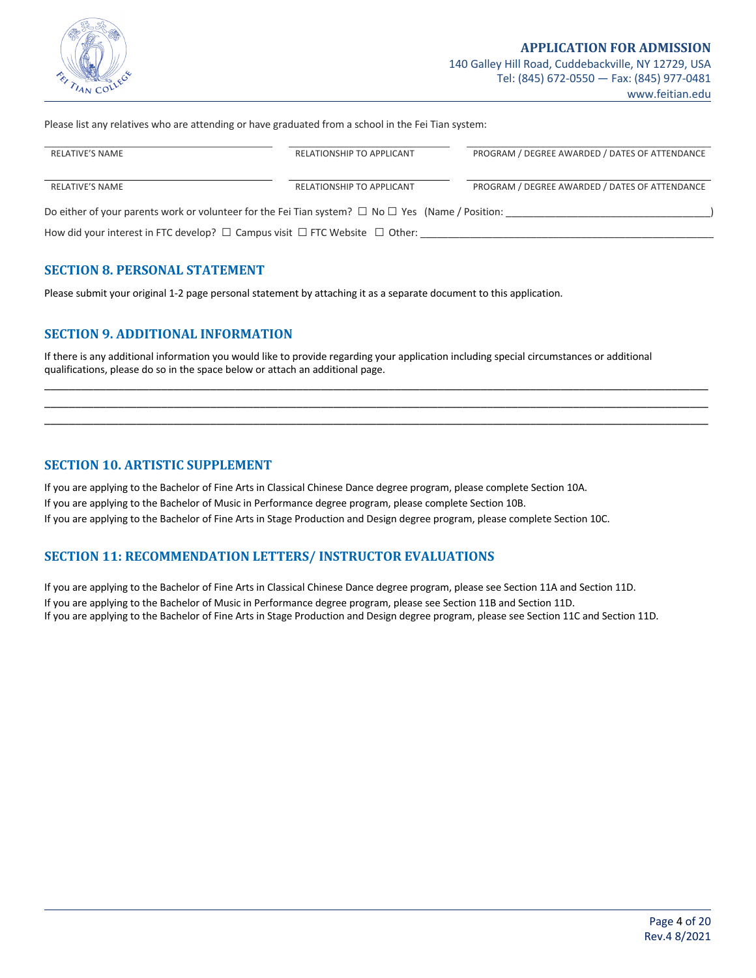

Please list any relatives who are attending or have graduated from a school in the Fei Tian system:

| <b>RELATIVE'S NAME</b>                                                                                      | RELATIONSHIP TO APPLICANT | PROGRAM / DEGREE AWARDED / DATES OF ATTENDANCE |
|-------------------------------------------------------------------------------------------------------------|---------------------------|------------------------------------------------|
| <b>RELATIVE'S NAME</b>                                                                                      | RELATIONSHIP TO APPLICANT | PROGRAM / DEGREE AWARDED / DATES OF ATTENDANCE |
| Do either of your parents work or volunteer for the Fei Tian system? $\Box$ No $\Box$ Yes (Name / Position: |                           |                                                |
| How did your interest in FTC develop? $\Box$ Campus visit $\Box$ FTC Website $\Box$ Other:                  |                           |                                                |

#### **SECTION 8. PERSONAL STATEMENT**

Please submit your original 1-2 page personal statement by attaching it as a separate document to this application.

### **SECTION 9. ADDITIONAL INFORMATION**

If there is any additional information you would like to provide regarding your application including special circumstances or additional qualifications, please do so in the space below or attach an additional page.

\_\_\_\_\_\_\_\_\_\_\_\_\_\_\_\_\_\_\_\_\_\_\_\_\_\_\_\_\_\_\_\_\_\_\_\_\_\_\_\_\_\_\_\_\_\_\_\_\_\_\_\_\_\_\_\_\_\_\_\_\_\_\_\_\_\_\_\_\_\_\_\_\_\_\_\_\_\_\_\_\_\_\_\_\_\_\_\_\_\_\_\_\_\_\_\_\_\_\_\_\_\_\_\_\_\_\_\_ \_\_\_\_\_\_\_\_\_\_\_\_\_\_\_\_\_\_\_\_\_\_\_\_\_\_\_\_\_\_\_\_\_\_\_\_\_\_\_\_\_\_\_\_\_\_\_\_\_\_\_\_\_\_\_\_\_\_\_\_\_\_\_\_\_\_\_\_\_\_\_\_\_\_\_\_\_\_\_\_\_\_\_\_\_\_\_\_\_\_\_\_\_\_\_\_\_\_\_\_\_\_\_\_\_\_\_\_ \_\_\_\_\_\_\_\_\_\_\_\_\_\_\_\_\_\_\_\_\_\_\_\_\_\_\_\_\_\_\_\_\_\_\_\_\_\_\_\_\_\_\_\_\_\_\_\_\_\_\_\_\_\_\_\_\_\_\_\_\_\_\_\_\_\_\_\_\_\_\_\_\_\_\_\_\_\_\_\_\_\_\_\_\_\_\_\_\_\_\_\_\_\_\_\_\_\_\_\_\_\_\_\_\_\_\_\_

### **SECTION 10. ARTISTIC SUPPLEMENT**

If you are applying to the Bachelor of Fine Arts in Classical Chinese Dance degree program, please complete Section 10A. If you are applying to the Bachelor of Music in Performance degree program, please complete Section 10B. If you are applying to the Bachelor of Fine Arts in Stage Production and Design degree program, please complete Section 10C.

### **SECTION 11: RECOMMENDATION LETTERS/INSTRUCTOR EVALUATIONS**

If you are applying to the Bachelor of Fine Arts in Classical Chinese Dance degree program, please see Section 11A and Section 11D. If you are applying to the Bachelor of Music in Performance degree program, please see Section 11B and Section 11D. If you are applying to the Bachelor of Fine Arts in Stage Production and Design degree program, please see Section 11C and Section 11D.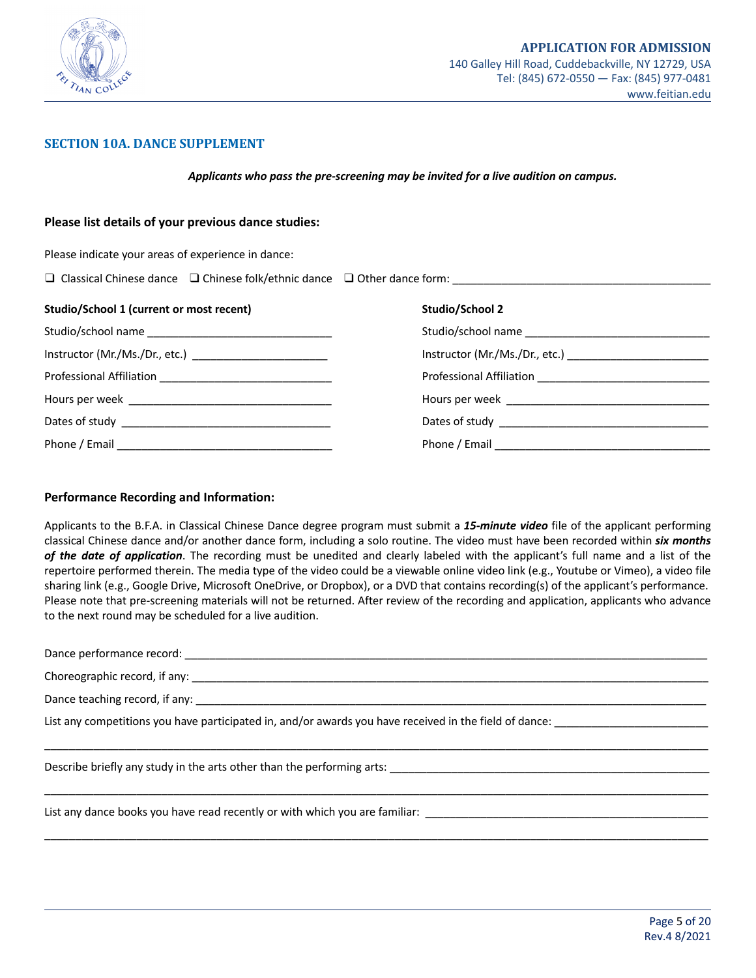

#### **SECTION 10A. DANCE SUPPLEMENT**

*Applicants who pass the pre-screening may be invited for a live audition on campus.*

# **Please list details of your previous dance studies:**

Please indicate your areas of experience in dance:

| $\Box$ Classical Chinese dance $\Box$ Chinese folk/ethnic dance $\Box$ Other dance form: |
|------------------------------------------------------------------------------------------|
|------------------------------------------------------------------------------------------|

| Studio/School 1 (current or most recent)                 | Studio/School 2 |
|----------------------------------------------------------|-----------------|
|                                                          |                 |
| Instructor (Mr./Ms./Dr., etc.) _________________________ |                 |
|                                                          |                 |
|                                                          |                 |
|                                                          |                 |
|                                                          |                 |

#### **Performance Recording and Information:**

Applicants to the B.F.A. in Classical Chinese Dance degree program must submit a *15-minute video* file of the applicant performing classical Chinese dance and/or another dance form, including a solo routine. The video must have been recorded within *six months of the date of application*. The recording must be unedited and clearly labeled with the applicant's full name and a list of the repertoire performed therein. The media type of the video could be a viewable online video link (e.g., Youtube or Vimeo), a video file sharing link (e.g., Google Drive, Microsoft OneDrive, or Dropbox), or a DVD that contains recording(s) of the applicant's performance. Please note that pre-screening materials will not be returned. After review of the recording and application, applicants who advance to the next round may be scheduled for a live audition.

| List any competitions you have participated in, and/or awards you have received in the field of dance: |
|--------------------------------------------------------------------------------------------------------|
|                                                                                                        |
| Describe briefly any study in the arts other than the performing arts: _____________________________   |
|                                                                                                        |
| List any dance books you have read recently or with which you are familiar: ________________________   |

\_\_\_\_\_\_\_\_\_\_\_\_\_\_\_\_\_\_\_\_\_\_\_\_\_\_\_\_\_\_\_\_\_\_\_\_\_\_\_\_\_\_\_\_\_\_\_\_\_\_\_\_\_\_\_\_\_\_\_\_\_\_\_\_\_\_\_\_\_\_\_\_\_\_\_\_\_\_\_\_\_\_\_\_\_\_\_\_\_\_\_\_\_\_\_\_\_\_\_\_\_\_\_\_\_\_\_\_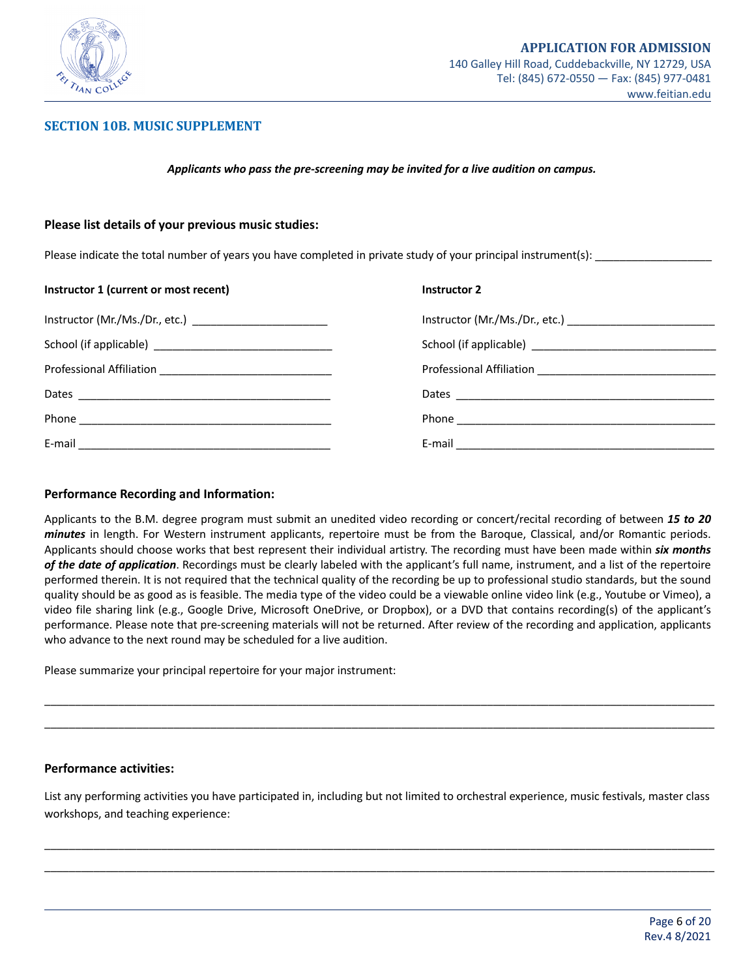

### **SECTION 10B. MUSIC SUPPLEMENT**

#### *Applicants who pass the pre-screening may be invited for a live audition on campus.*

#### **Please list details of your previous music studies:**

Please indicate the total number of years you have completed in private study of your principal instrument(s):

| Instructor 1 (current or most recent)                     | <b>Instructor 2</b> |
|-----------------------------------------------------------|---------------------|
| Instructor (Mr./Ms./Dr., etc.) __________________________ |                     |
|                                                           |                     |
|                                                           |                     |
|                                                           |                     |
|                                                           |                     |
| E-mail                                                    |                     |

#### **Performance Recording and Information:**

Applicants to the B.M. degree program must submit an unedited video recording or concert/recital recording of between *15 to 20 minutes* in length. For Western instrument applicants, repertoire must be from the Baroque, Classical, and/or Romantic periods. Applicants should choose works that best represent their individual artistry. The recording must have been made within *six months of the date of application*. Recordings must be clearly labeled with the applicant's full name, instrument, and a list of the repertoire performed therein. It is not required that the technical quality of the recording be up to professional studio standards, but the sound quality should be as good as is feasible. The media type of the video could be a viewable online video link (e.g., Youtube or Vimeo), a video file sharing link (e.g., Google Drive, Microsoft OneDrive, or Dropbox), or a DVD that contains recording(s) of the applicant's performance. Please note that pre-screening materials will not be returned. After review of the recording and application, applicants who advance to the next round may be scheduled for a live audition.

Please summarize your principal repertoire for your major instrument:

#### **Performance activities:**

List any performing activities you have participated in, including but not limited to orchestral experience, music festivals, master class workshops, and teaching experience:

\_\_\_\_\_\_\_\_\_\_\_\_\_\_\_\_\_\_\_\_\_\_\_\_\_\_\_\_\_\_\_\_\_\_\_\_\_\_\_\_\_\_\_\_\_\_\_\_\_\_\_\_\_\_\_\_\_\_\_\_\_\_\_\_\_\_\_\_\_\_\_\_\_\_\_\_\_\_\_\_\_\_\_\_\_\_\_\_\_\_\_\_\_\_\_\_\_\_\_\_\_\_\_\_\_\_\_\_\_ \_\_\_\_\_\_\_\_\_\_\_\_\_\_\_\_\_\_\_\_\_\_\_\_\_\_\_\_\_\_\_\_\_\_\_\_\_\_\_\_\_\_\_\_\_\_\_\_\_\_\_\_\_\_\_\_\_\_\_\_\_\_\_\_\_\_\_\_\_\_\_\_\_\_\_\_\_\_\_\_\_\_\_\_\_\_\_\_\_\_\_\_\_\_\_\_\_\_\_\_\_\_\_\_\_\_\_\_\_

\_\_\_\_\_\_\_\_\_\_\_\_\_\_\_\_\_\_\_\_\_\_\_\_\_\_\_\_\_\_\_\_\_\_\_\_\_\_\_\_\_\_\_\_\_\_\_\_\_\_\_\_\_\_\_\_\_\_\_\_\_\_\_\_\_\_\_\_\_\_\_\_\_\_\_\_\_\_\_\_\_\_\_\_\_\_\_\_\_\_\_\_\_\_\_\_\_\_\_\_\_\_\_\_\_\_\_\_\_ \_\_\_\_\_\_\_\_\_\_\_\_\_\_\_\_\_\_\_\_\_\_\_\_\_\_\_\_\_\_\_\_\_\_\_\_\_\_\_\_\_\_\_\_\_\_\_\_\_\_\_\_\_\_\_\_\_\_\_\_\_\_\_\_\_\_\_\_\_\_\_\_\_\_\_\_\_\_\_\_\_\_\_\_\_\_\_\_\_\_\_\_\_\_\_\_\_\_\_\_\_\_\_\_\_\_\_\_\_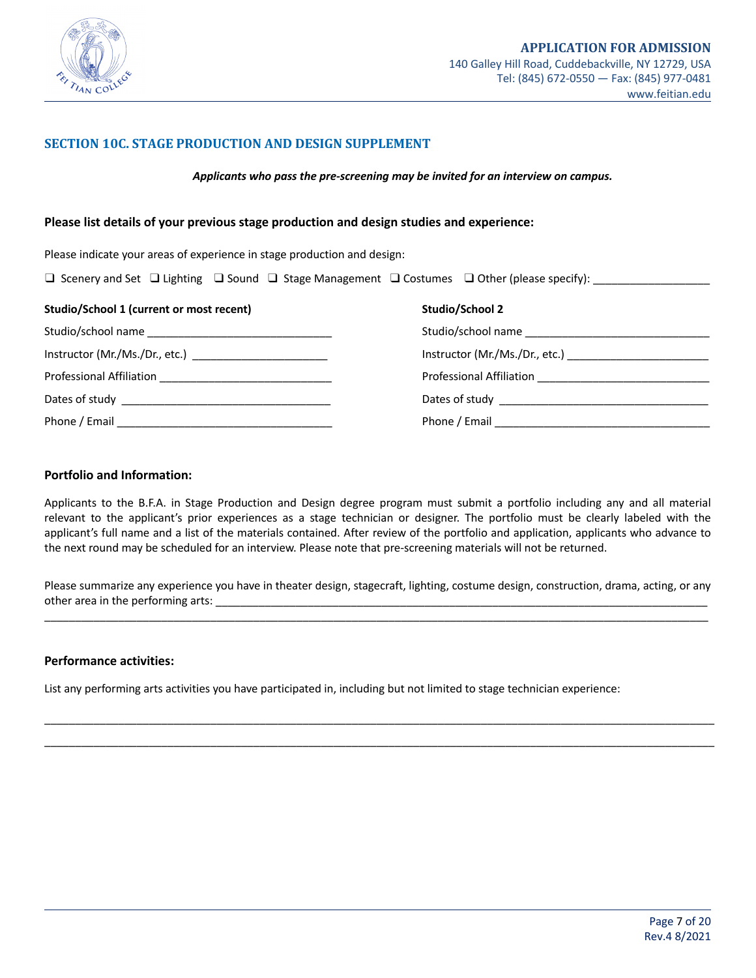

### **SECTION 10C. STAGE PRODUCTION AND DESIGN SUPPLEMENT**

*Applicants who pass the pre-screening may be invited for an interview on campus.*

#### **Please list details of your previous stage production and design studies and experience:**

Please indicate your areas of experience in stage production and design:

| □ Scenery and Set □ Lighting □ Sound □ Stage Management □ Costumes □ Other (please specify): |
|----------------------------------------------------------------------------------------------|
|----------------------------------------------------------------------------------------------|

| Studio/School 1 (current or most recent)                    | Studio/School 2                              |
|-------------------------------------------------------------|----------------------------------------------|
|                                                             |                                              |
| Instructor (Mr./Ms./Dr., etc.) ____________________________ |                                              |
|                                                             | Professional Affiliation <b>Example 2018</b> |
|                                                             |                                              |
| Phone / Email                                               |                                              |

#### **Portfolio and Information:**

Applicants to the B.F.A. in Stage Production and Design degree program must submit a portfolio including any and all material relevant to the applicant's prior experiences as a stage technician or designer. The portfolio must be clearly labeled with the applicant's full name and a list of the materials contained. After review of the portfolio and application, applicants who advance to the next round may be scheduled for an interview. Please note that pre-screening materials will not be returned.

Please summarize any experience you have in theater design, stagecraft, lighting, costume design, construction, drama, acting, or any other area in the performing arts: \_\_\_\_\_\_\_\_\_\_\_\_\_\_\_\_\_\_\_\_\_\_\_\_\_\_\_\_\_\_\_\_\_\_\_\_\_\_\_\_\_\_\_\_\_\_\_\_\_\_\_\_\_\_\_\_\_\_\_\_\_\_\_\_\_\_\_\_\_\_\_\_\_\_\_\_\_\_\_\_ \_\_\_\_\_\_\_\_\_\_\_\_\_\_\_\_\_\_\_\_\_\_\_\_\_\_\_\_\_\_\_\_\_\_\_\_\_\_\_\_\_\_\_\_\_\_\_\_\_\_\_\_\_\_\_\_\_\_\_\_\_\_\_\_\_\_\_\_\_\_\_\_\_\_\_\_\_\_\_\_\_\_\_\_\_\_\_\_\_\_\_\_\_\_\_\_\_\_\_\_\_\_\_\_\_\_\_\_

\_\_\_\_\_\_\_\_\_\_\_\_\_\_\_\_\_\_\_\_\_\_\_\_\_\_\_\_\_\_\_\_\_\_\_\_\_\_\_\_\_\_\_\_\_\_\_\_\_\_\_\_\_\_\_\_\_\_\_\_\_\_\_\_\_\_\_\_\_\_\_\_\_\_\_\_\_\_\_\_\_\_\_\_\_\_\_\_\_\_\_\_\_\_\_\_\_\_\_\_\_\_\_\_\_\_\_\_\_ \_\_\_\_\_\_\_\_\_\_\_\_\_\_\_\_\_\_\_\_\_\_\_\_\_\_\_\_\_\_\_\_\_\_\_\_\_\_\_\_\_\_\_\_\_\_\_\_\_\_\_\_\_\_\_\_\_\_\_\_\_\_\_\_\_\_\_\_\_\_\_\_\_\_\_\_\_\_\_\_\_\_\_\_\_\_\_\_\_\_\_\_\_\_\_\_\_\_\_\_\_\_\_\_\_\_\_\_\_

#### **Performance activities:**

List any performing arts activities you have participated in, including but not limited to stage technician experience: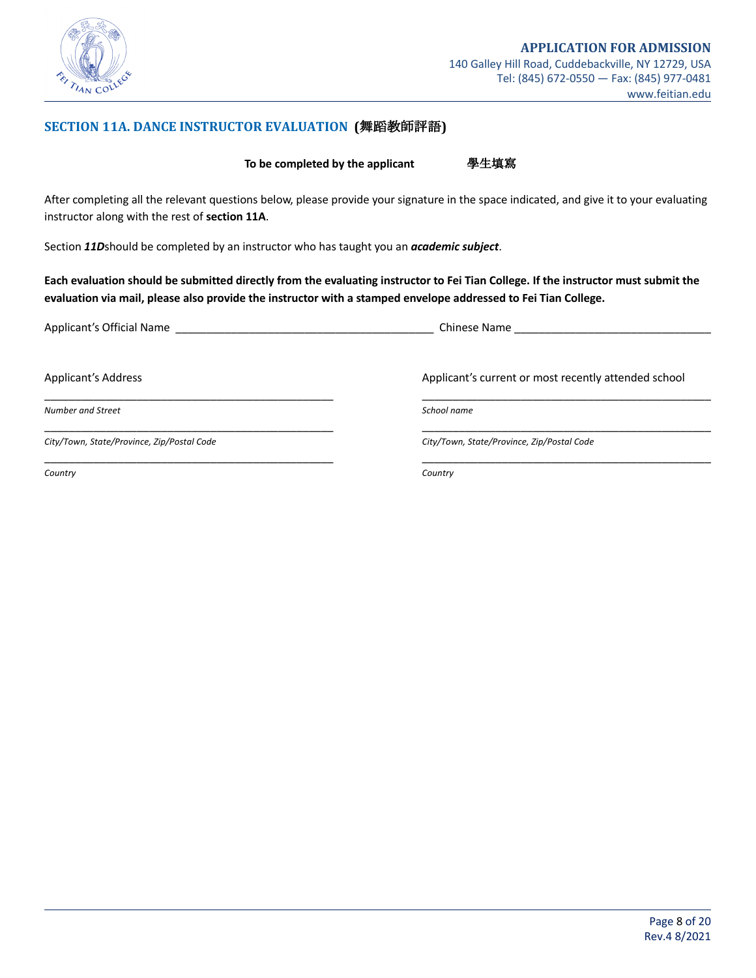

## **SECTION 11A. DANCE INSTRUCTOR EVALUATION (舞蹈教師評語)**

**To be completed by the applicant** 學生填寫

After completing all the relevant questions below, please provide your signature in the space indicated, and give it to your evaluating instructor along with the rest of **section 11A**.

Section *11D*should be completed by an instructor who has taught you an *academic subject*.

Each evaluation should be submitted directly from the evaluating instructor to Fei Tian College. If the instructor must submit the evaluation via mail, please also provide the instructor with a stamped envelope addressed to Fei Tian College.

| Applicant's Official Name                  | Chinese Name                                         |
|--------------------------------------------|------------------------------------------------------|
| Applicant's Address                        | Applicant's current or most recently attended school |
| Number and Street                          | School name                                          |
| City/Town, State/Province, Zip/Postal Code | City/Town, State/Province, Zip/Postal Code           |
| Country                                    | Country                                              |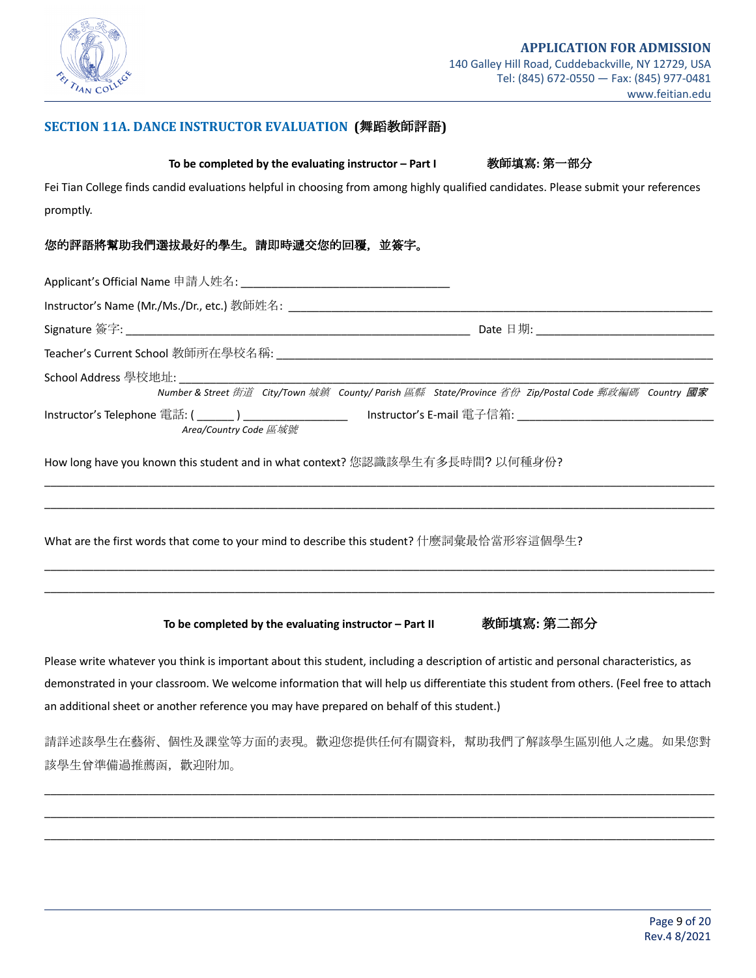

### **SECTION 11A. DANCE INSTRUCTOR EVALUATION (**舞蹈教師評語**)**

### **To be completed by the evaluating instructor – Part I** ""教師填寫**:** 第一部分

Fei Tian College finds candid evaluations helpful in choosing from among highly qualified candidates. Please submit your references promptly.

### 您的評語將幫助我們選拔最好的學生。請即時遞交您的回覆,並簽字。

| Area/Country Code 區域號                                                                    | Number & Street 街道 City/Town 城鎮 County/ Parish 區縣 State/Province 省份 Zip/Postal Code 郵政編碼 Country 國家<br>Instructor's Telephone 電話: ( ______ ) ___________________  Instructor's E-mail 電子信箱: ________________________________ |
|------------------------------------------------------------------------------------------|------------------------------------------------------------------------------------------------------------------------------------------------------------------------------------------------------------------------------|
| How long have you known this student and in what context? 您認識該學生有多長時間? 以何種身份?            |                                                                                                                                                                                                                              |
| What are the first words that come to your mind to describe this student? 什麼詞彙最恰當形容這個學生? |                                                                                                                                                                                                                              |
|                                                                                          |                                                                                                                                                                                                                              |
| To be completed by the evaluating instructor - Part II                                   | 教師填寫:第二部分                                                                                                                                                                                                                    |

Please write whatever you think is important about this student, including a description of artistic and personal characteristics, as demonstrated in your classroom. We welcome information that will help us differentiate this student from others. (Feel free to attach an additional sheet or another reference you may have prepared on behalf of this student.)

請詳述該學生在藝術、個性及課堂等方面的表現。歡迎您提供任何有關資料,幫助我們了解該學生區別他人之處。如果您對 該學生曾準備過推薦函,歡迎附加。

\_\_\_\_\_\_\_\_\_\_\_\_\_\_\_\_\_\_\_\_\_\_\_\_\_\_\_\_\_\_\_\_\_\_\_\_\_\_\_\_\_\_\_\_\_\_\_\_\_\_\_\_\_\_\_\_\_\_\_\_\_\_\_\_\_\_\_\_\_\_\_\_\_\_\_\_\_\_\_\_\_\_\_\_\_\_\_\_\_\_\_\_\_\_\_\_\_\_\_\_\_\_\_\_\_\_\_\_\_ \_\_\_\_\_\_\_\_\_\_\_\_\_\_\_\_\_\_\_\_\_\_\_\_\_\_\_\_\_\_\_\_\_\_\_\_\_\_\_\_\_\_\_\_\_\_\_\_\_\_\_\_\_\_\_\_\_\_\_\_\_\_\_\_\_\_\_\_\_\_\_\_\_\_\_\_\_\_\_\_\_\_\_\_\_\_\_\_\_\_\_\_\_\_\_\_\_\_\_\_\_\_\_\_\_\_\_\_\_ \_\_\_\_\_\_\_\_\_\_\_\_\_\_\_\_\_\_\_\_\_\_\_\_\_\_\_\_\_\_\_\_\_\_\_\_\_\_\_\_\_\_\_\_\_\_\_\_\_\_\_\_\_\_\_\_\_\_\_\_\_\_\_\_\_\_\_\_\_\_\_\_\_\_\_\_\_\_\_\_\_\_\_\_\_\_\_\_\_\_\_\_\_\_\_\_\_\_\_\_\_\_\_\_\_\_\_\_\_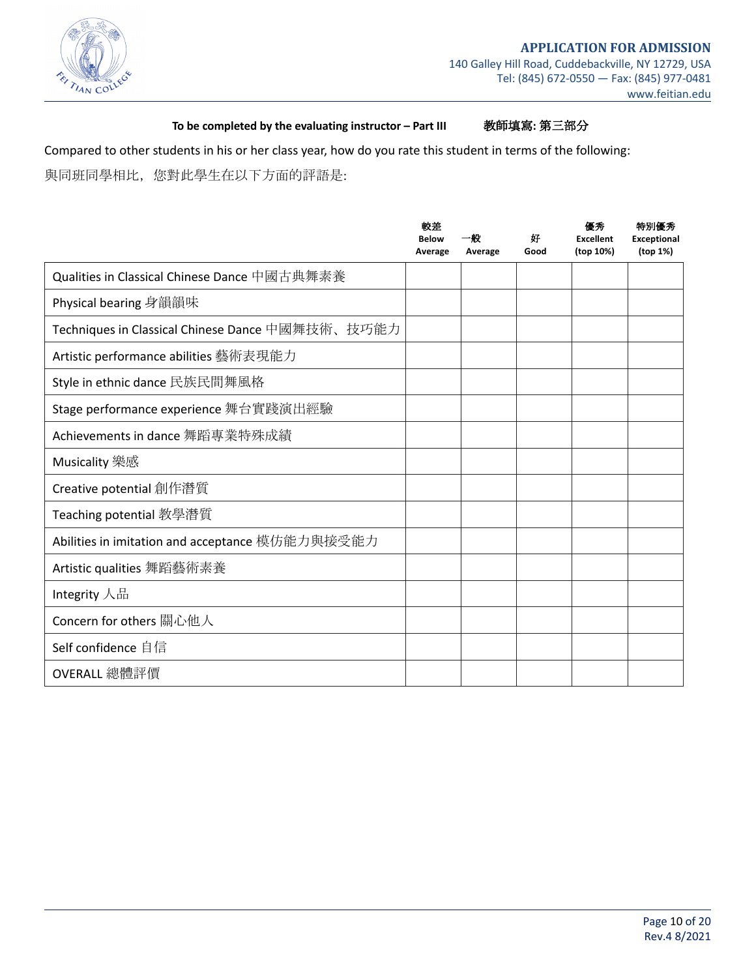

**To be completed by the evaluating instructor – Part III** 教師填寫**:** 第三部分

Compared to other students in his or her class year, how do you rate this student in terms of the following: 與同班同學相比,您對此學生在以下方面的評語是:

|                                                  | 較差<br><b>Below</b><br>Average | 一般<br>Average | 妊<br>Good | 優秀<br><b>Excellent</b><br>(top 10%) | 特別優秀<br><b>Exceptional</b><br>(top 1%) |
|--------------------------------------------------|-------------------------------|---------------|-----------|-------------------------------------|----------------------------------------|
| Qualities in Classical Chinese Dance 中國古典舞素養     |                               |               |           |                                     |                                        |
| Physical bearing 身韻韻味                            |                               |               |           |                                     |                                        |
| Techniques in Classical Chinese Dance 中國舞技術、技巧能力 |                               |               |           |                                     |                                        |
| Artistic performance abilities 藝術表現能力            |                               |               |           |                                     |                                        |
| Style in ethnic dance 民族民間舞風格                    |                               |               |           |                                     |                                        |
| Stage performance experience 舞台實踐演出經驗            |                               |               |           |                                     |                                        |
| Achievements in dance 舞蹈專業特殊成績                   |                               |               |           |                                     |                                        |
| Musicality 樂感                                    |                               |               |           |                                     |                                        |
| Creative potential 創作潛質                          |                               |               |           |                                     |                                        |
| Teaching potential 教學潛質                          |                               |               |           |                                     |                                        |
| Abilities in imitation and acceptance 模仿能力與接受能力  |                               |               |           |                                     |                                        |
| Artistic qualities 舞蹈藝術素養                        |                               |               |           |                                     |                                        |
| Integrity 人品                                     |                               |               |           |                                     |                                        |
| Concern for others 關心他人                          |                               |               |           |                                     |                                        |
| Self confidence 自信                               |                               |               |           |                                     |                                        |
| OVERALL 總體評價                                     |                               |               |           |                                     |                                        |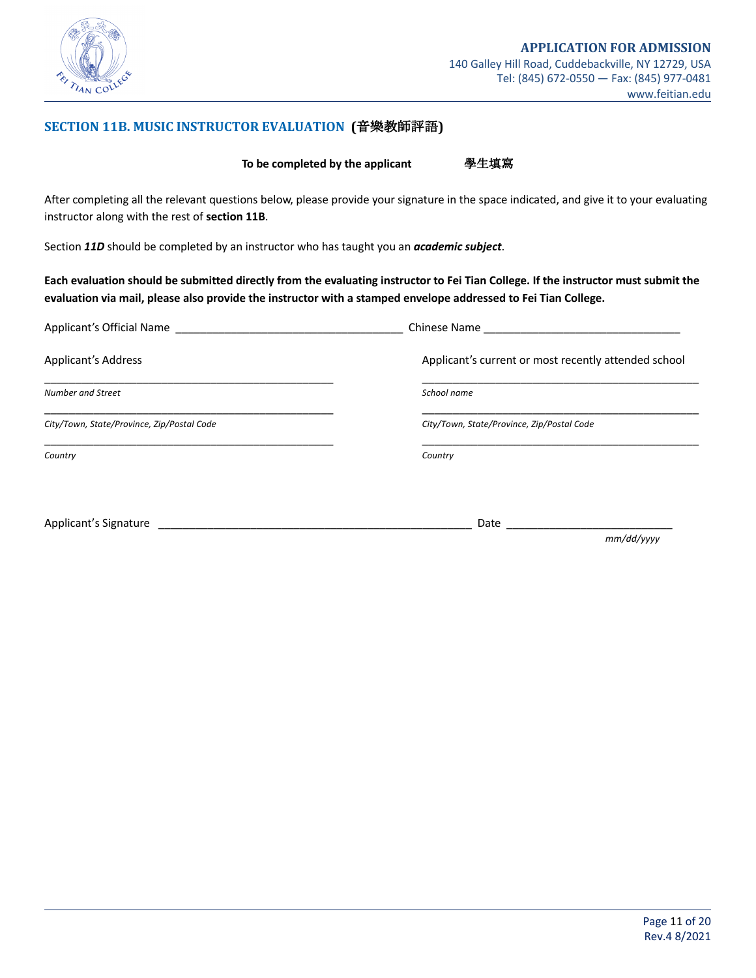

### **SECTION 11B. MUSIC INSTRUCTOR EVALUATION (**音樂教師評語**)**

**To be completed by the applicant** 學生填寫

After completing all the relevant questions below, please provide your signature in the space indicated, and give it to your evaluating instructor along with the rest of **section 11B**.

Section *11D* should be completed by an instructor who has taught you an *academic subject*.

Each evaluation should be submitted directly from the evaluating instructor to Fei Tian College. If the instructor must submit the evaluation via mail, please also provide the instructor with a stamped envelope addressed to Fei Tian College.

| Applicant's Official Name                  | Chinese Name <b>Chinese</b> Name                     |
|--------------------------------------------|------------------------------------------------------|
| <b>Applicant's Address</b>                 | Applicant's current or most recently attended school |
| Number and Street                          | School name                                          |
| City/Town, State/Province, Zip/Postal Code | City/Town, State/Province, Zip/Postal Code           |
| Country                                    | Country                                              |
|                                            |                                                      |

Applicant's Signature \_\_\_\_\_\_\_\_\_\_\_\_\_\_\_\_\_\_\_\_\_\_\_\_\_\_\_\_\_\_\_\_\_\_\_\_\_\_\_\_\_\_\_\_\_\_\_\_\_\_\_ Date \_\_\_\_\_\_\_\_\_\_\_\_\_\_\_\_\_\_\_\_\_\_\_\_\_\_\_

 *mm/dd/yyyy*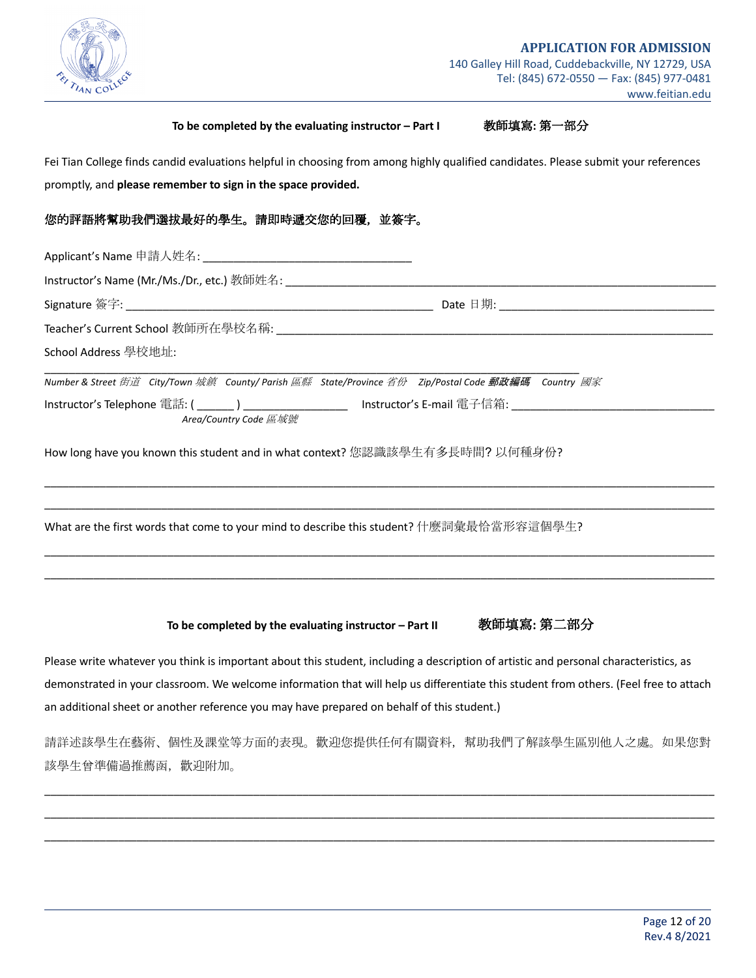

#### **To be completed by the evaluating instructor – Part I** 教師填寫**:** 第一部分

Fei Tian College finds candid evaluations helpful in choosing from among highly qualified candidates. Please submit your references promptly, and **please remember to sign in the space provided.**

### 您的評語將幫助我們選拔最好的學生。請即時遞交您的回覆,並簽字。

| School Address 學校地址:                                                                                                                                                                                                                           |  |
|------------------------------------------------------------------------------------------------------------------------------------------------------------------------------------------------------------------------------------------------|--|
| Number & Street 街道 City/Town 妭鎮 County/ Parish 區縣 State/Province 省份 Zip/Postal Code 郵政編碼 Country 國家<br>Instructor's Telephone 電話: ( _______ ) ____________________ Instructor's E-mail 電子信箱: ________________________<br>Area/Country Code 區域號 |  |
| How long have you known this student and in what context? 您認識該學生有多長時間? 以何種身份?                                                                                                                                                                  |  |
| What are the first words that come to your mind to describe this student? 什麼詞彙最恰當形容這個學生?                                                                                                                                                       |  |
|                                                                                                                                                                                                                                                |  |

**To be completed by the evaluating instructor – Part II** 教師填寫**:** 第二部分

Please write whatever you think is important about this student, including a description of artistic and personal characteristics, as demonstrated in your classroom. We welcome information that will help us differentiate this student from others. (Feel free to attach an additional sheet or another reference you may have prepared on behalf of this student.)

請詳述該學生在藝術、個性及課堂等方面的表現。歡迎您提供任何有關資料,幫助我們了解該學生區別他人之處。如果您對 該學生曾準備過推薦函,歡迎附加。

\_\_\_\_\_\_\_\_\_\_\_\_\_\_\_\_\_\_\_\_\_\_\_\_\_\_\_\_\_\_\_\_\_\_\_\_\_\_\_\_\_\_\_\_\_\_\_\_\_\_\_\_\_\_\_\_\_\_\_\_\_\_\_\_\_\_\_\_\_\_\_\_\_\_\_\_\_\_\_\_\_\_\_\_\_\_\_\_\_\_\_\_\_\_\_\_\_\_\_\_\_\_\_\_\_\_\_\_\_ \_\_\_\_\_\_\_\_\_\_\_\_\_\_\_\_\_\_\_\_\_\_\_\_\_\_\_\_\_\_\_\_\_\_\_\_\_\_\_\_\_\_\_\_\_\_\_\_\_\_\_\_\_\_\_\_\_\_\_\_\_\_\_\_\_\_\_\_\_\_\_\_\_\_\_\_\_\_\_\_\_\_\_\_\_\_\_\_\_\_\_\_\_\_\_\_\_\_\_\_\_\_\_\_\_\_\_\_\_ \_\_\_\_\_\_\_\_\_\_\_\_\_\_\_\_\_\_\_\_\_\_\_\_\_\_\_\_\_\_\_\_\_\_\_\_\_\_\_\_\_\_\_\_\_\_\_\_\_\_\_\_\_\_\_\_\_\_\_\_\_\_\_\_\_\_\_\_\_\_\_\_\_\_\_\_\_\_\_\_\_\_\_\_\_\_\_\_\_\_\_\_\_\_\_\_\_\_\_\_\_\_\_\_\_\_\_\_\_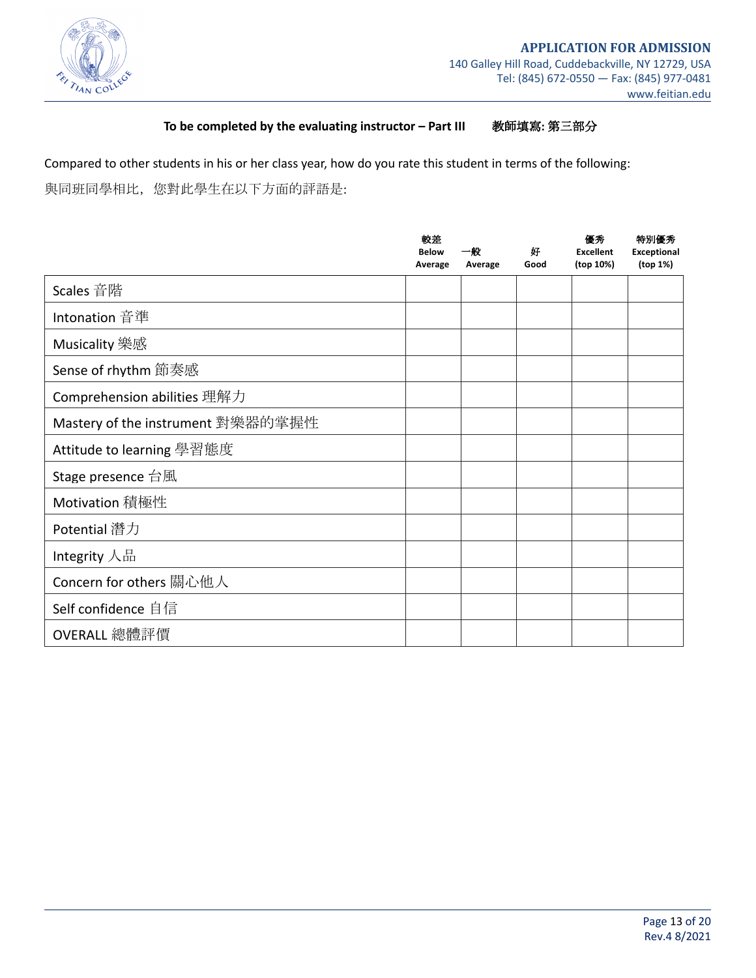

### **To be completed by the evaluating instructor – Part III**!!!!!!!教師填寫**:** 第三部分

Compared to other students in his or her class year, how do you rate this student in terms of the following: 與同班同學相比,您對此學生在以下方面的評語是:

|                                   | 較差<br><b>Below</b><br>Average | 一般<br>Average | 好<br>Good | 優秀<br><b>Excellent</b><br>(top 10%) | 特別優秀<br><b>Exceptional</b><br>(top 1%) |
|-----------------------------------|-------------------------------|---------------|-----------|-------------------------------------|----------------------------------------|
| Scales 音階                         |                               |               |           |                                     |                                        |
| Intonation 音準                     |                               |               |           |                                     |                                        |
| Musicality 樂感                     |                               |               |           |                                     |                                        |
| Sense of rhythm 節奏感               |                               |               |           |                                     |                                        |
| Comprehension abilities 理解力       |                               |               |           |                                     |                                        |
| Mastery of the instrument 對樂器的掌握性 |                               |               |           |                                     |                                        |
| Attitude to learning 學習態度         |                               |               |           |                                     |                                        |
| Stage presence 台風                 |                               |               |           |                                     |                                        |
| Motivation 積極性                    |                               |               |           |                                     |                                        |
| Potential 潛力                      |                               |               |           |                                     |                                        |
| Integrity 人品                      |                               |               |           |                                     |                                        |
| Concern for others 關心他人           |                               |               |           |                                     |                                        |
| Self confidence 自信                |                               |               |           |                                     |                                        |
| OVERALL 總體評價                      |                               |               |           |                                     |                                        |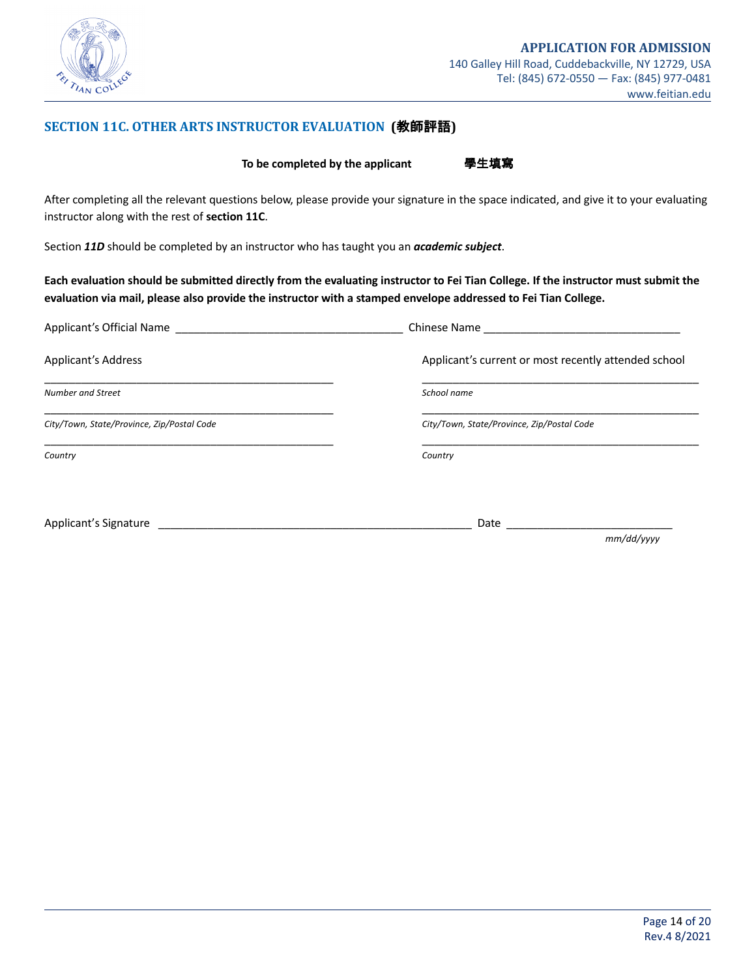

### **SECTION 11C. OTHER ARTS INSTRUCTOR EVALUATION (**教師評語**)**

**To be completed by the applicant** 學生填寫

After completing all the relevant questions below, please provide your signature in the space indicated, and give it to your evaluating instructor along with the rest of **section 11C**.

Section *11D* should be completed by an instructor who has taught you an *academic subject*.

Each evaluation should be submitted directly from the evaluating instructor to Fei Tian College. If the instructor must submit the evaluation via mail, please also provide the instructor with a stamped envelope addressed to Fei Tian College.

| Applicant's Official Name                  | Chinese Name                                         |
|--------------------------------------------|------------------------------------------------------|
| <b>Applicant's Address</b>                 | Applicant's current or most recently attended school |
| <b>Number and Street</b>                   | School name                                          |
| City/Town, State/Province, Zip/Postal Code | City/Town, State/Province, Zip/Postal Code           |
| Country                                    | Country                                              |
|                                            |                                                      |

Applicant's Signature \_\_\_\_\_\_\_\_\_\_\_\_\_\_\_\_\_\_\_\_\_\_\_\_\_\_\_\_\_\_\_\_\_\_\_\_\_\_\_\_\_\_\_\_\_\_\_\_\_\_\_ Date \_\_\_\_\_\_\_\_\_\_\_\_\_\_\_\_\_\_\_\_\_\_\_\_\_\_\_

 *mm/dd/yyyy*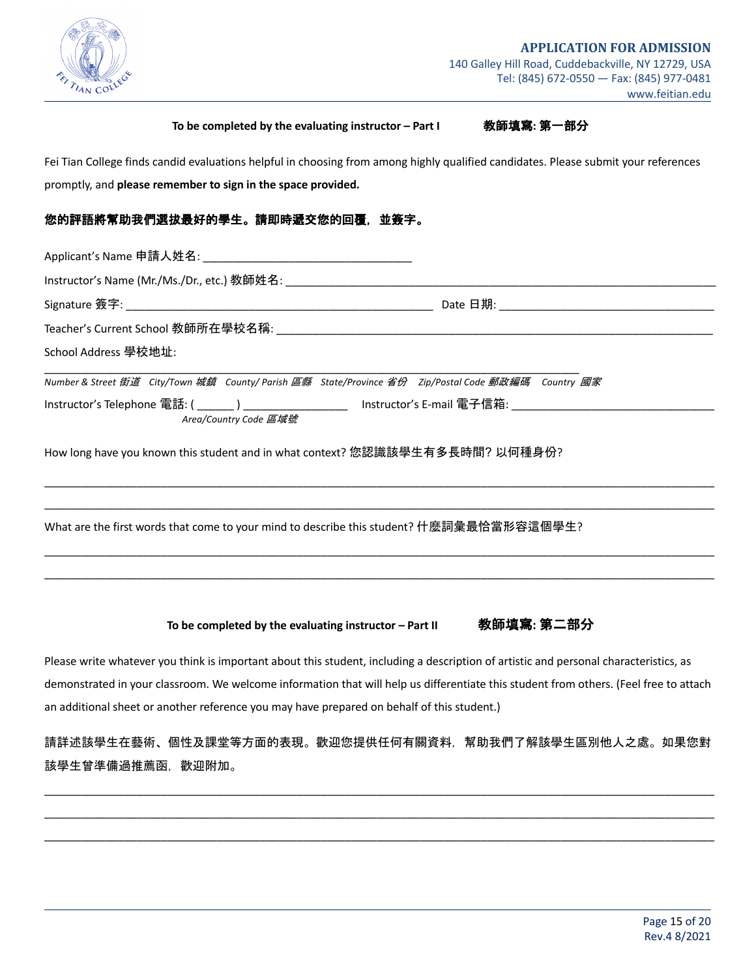

### **To be completed by the evaluating instructor – Part I** 教師填寫**:** 第一部分

Fei Tian College finds candid evaluations helpful in choosing from among highly qualified candidates. Please submit your references promptly, and **please remember to sign in the space provided.**

### 您的評語將幫助我們選拔最好的學生。請即時遞交您的回覆,並簽字。

| School Address 學校地址:                                                                                                                    |  |
|-----------------------------------------------------------------------------------------------------------------------------------------|--|
| Number & Street 街道 City/Town 城鎮 County/ Parish 區縣 State/Province 省份 Zip/Postal Code 郵政編碼 Country 國家                                     |  |
| Instructor's Telephone 電話: ( _______ ) ____________________  Instructor's E-mail 電子信箱: _______________________<br>Area/Country Code 區域號 |  |
| How long have you known this student and in what context? 您認識該學生有多長時間? 以何種身份?                                                           |  |
| What are the first words that come to your mind to describe this student? 什麼詞彙最恰當形容這個學生?                                                |  |
|                                                                                                                                         |  |
|                                                                                                                                         |  |

**To be completed by the evaluating instructor – Part II** 教師填寫**:** 第二部分

Please write whatever you think is important about this student, including a description of artistic and personal characteristics, as demonstrated in your classroom. We welcome information that will help us differentiate this student from others. (Feel free to attach an additional sheet or another reference you may have prepared on behalf of this student.)

請詳述該學生在藝術、個性及課堂等方面的表現。歡迎您提供任何有關資料,幫助我們了解該學生區別他人之處。如果您對 該學生曾準備過推薦函,歡迎附加。

\_\_\_\_\_\_\_\_\_\_\_\_\_\_\_\_\_\_\_\_\_\_\_\_\_\_\_\_\_\_\_\_\_\_\_\_\_\_\_\_\_\_\_\_\_\_\_\_\_\_\_\_\_\_\_\_\_\_\_\_\_\_\_\_\_\_\_\_\_\_\_\_\_\_\_\_\_\_\_\_\_\_\_\_\_\_\_\_\_\_\_\_\_\_\_\_\_\_\_\_\_\_\_\_\_\_\_\_\_ \_\_\_\_\_\_\_\_\_\_\_\_\_\_\_\_\_\_\_\_\_\_\_\_\_\_\_\_\_\_\_\_\_\_\_\_\_\_\_\_\_\_\_\_\_\_\_\_\_\_\_\_\_\_\_\_\_\_\_\_\_\_\_\_\_\_\_\_\_\_\_\_\_\_\_\_\_\_\_\_\_\_\_\_\_\_\_\_\_\_\_\_\_\_\_\_\_\_\_\_\_\_\_\_\_\_\_\_\_ \_\_\_\_\_\_\_\_\_\_\_\_\_\_\_\_\_\_\_\_\_\_\_\_\_\_\_\_\_\_\_\_\_\_\_\_\_\_\_\_\_\_\_\_\_\_\_\_\_\_\_\_\_\_\_\_\_\_\_\_\_\_\_\_\_\_\_\_\_\_\_\_\_\_\_\_\_\_\_\_\_\_\_\_\_\_\_\_\_\_\_\_\_\_\_\_\_\_\_\_\_\_\_\_\_\_\_\_\_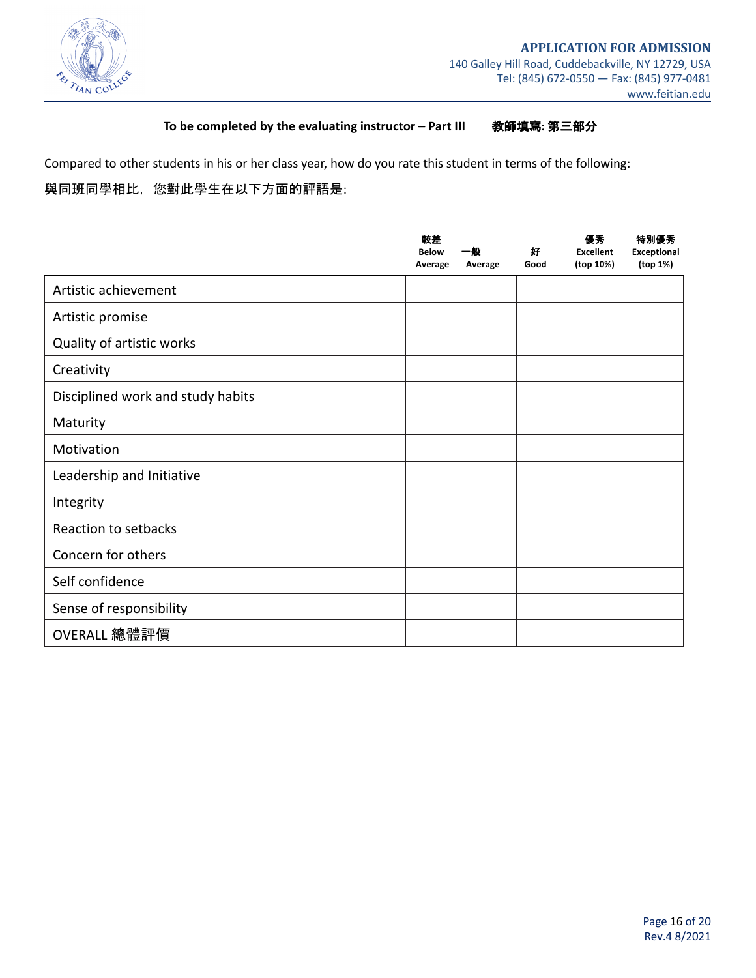

### **To be completed by the evaluating instructor – Part III**!!!!!!!教師填寫**:** 第三部分

Compared to other students in his or her class year, how do you rate this student in terms of the following:

# 與同班同學相比,您對此學生在以下方面的評語是:

|                                   | 較差<br><b>Below</b><br>Average | 一般<br>Average | 好<br>Good | 優秀<br><b>Excellent</b><br>(top 10%) | 特別優秀<br><b>Exceptional</b><br>(top 1%) |
|-----------------------------------|-------------------------------|---------------|-----------|-------------------------------------|----------------------------------------|
| Artistic achievement              |                               |               |           |                                     |                                        |
| Artistic promise                  |                               |               |           |                                     |                                        |
| Quality of artistic works         |                               |               |           |                                     |                                        |
| Creativity                        |                               |               |           |                                     |                                        |
| Disciplined work and study habits |                               |               |           |                                     |                                        |
| Maturity                          |                               |               |           |                                     |                                        |
| Motivation                        |                               |               |           |                                     |                                        |
| Leadership and Initiative         |                               |               |           |                                     |                                        |
| Integrity                         |                               |               |           |                                     |                                        |
| Reaction to setbacks              |                               |               |           |                                     |                                        |
| Concern for others                |                               |               |           |                                     |                                        |
| Self confidence                   |                               |               |           |                                     |                                        |
| Sense of responsibility           |                               |               |           |                                     |                                        |
| OVERALL 總體評價                      |                               |               |           |                                     |                                        |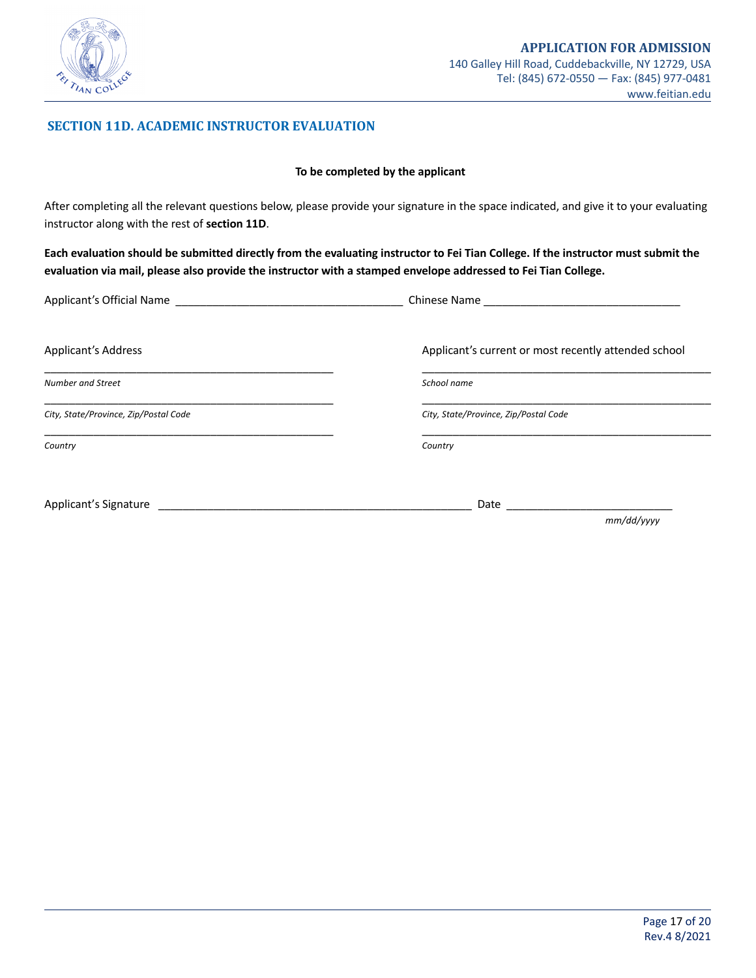

### **SECTION 11D. ACADEMIC INSTRUCTOR EVALUATION**

#### **To be completed by the applicant**

After completing all the relevant questions below, please provide your signature in the space indicated, and give it to your evaluating instructor along with the rest of **section 11D**.

Each evaluation should be submitted directly from the evaluating instructor to Fei Tian College. If the instructor must submit the evaluation via mail, please also provide the instructor with a stamped envelope addressed to Fei Tian College.

| Applicant's Official Name             | Chinese Name                                         |
|---------------------------------------|------------------------------------------------------|
| <b>Applicant's Address</b>            | Applicant's current or most recently attended school |
| Number and Street                     | School name                                          |
| City, State/Province, Zip/Postal Code | City, State/Province, Zip/Postal Code                |
| Country                               | Country                                              |
| Applicant's Signature                 | Date                                                 |
|                                       | mm/dd/yyyy                                           |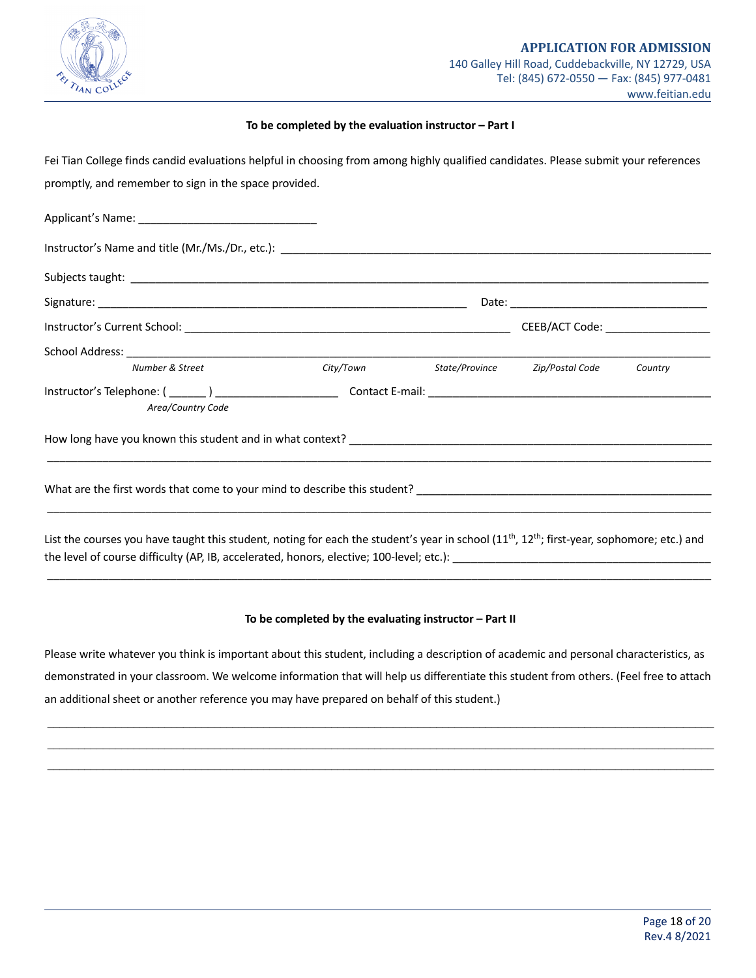

#### **To be completed by the evaluation instructor – Part I**

Fei Tian College finds candid evaluations helpful in choosing from among highly qualified candidates. Please submit your references promptly, and remember to sign in the space provided.

| Number & Street                                                                                                                                                                                                                                 | City/Town State/Province Zip/Postal Code Country |  |
|-------------------------------------------------------------------------------------------------------------------------------------------------------------------------------------------------------------------------------------------------|--------------------------------------------------|--|
| Area/Country Code                                                                                                                                                                                                                               |                                                  |  |
|                                                                                                                                                                                                                                                 |                                                  |  |
|                                                                                                                                                                                                                                                 |                                                  |  |
| List the courses you have taught this student, noting for each the student's year in school $(11^{th}, 12^{th})$ ; first-year, sophomore; etc.) and<br>the level of course difficulty (AP, IB, accelerated, honors, elective; 100-level; etc.): |                                                  |  |

#### **To be completed by the evaluating instructor – Part II**

\_\_\_\_\_\_\_\_\_\_\_\_\_\_\_\_\_\_\_\_\_\_\_\_\_\_\_\_\_\_\_\_\_\_\_\_\_\_\_\_\_\_\_\_\_\_\_\_\_\_\_\_\_\_\_\_\_\_\_\_\_\_\_\_\_\_\_\_\_\_\_\_\_\_\_\_\_\_\_\_\_\_\_\_\_\_\_\_\_\_\_\_\_\_\_\_\_\_\_\_\_\_\_\_\_\_\_\_

Please write whatever you think is important about this student, including a description of academic and personal characteristics, as demonstrated in your classroom. We welcome information that will help us differentiate this student from others. (Feel free to attach an additional sheet or another reference you may have prepared on behalf of this student.)

 $\mathcal{L}_\text{max} = \frac{1}{2} \sum_{i=1}^n \mathcal{L}_\text{max} = \frac{1}{2} \sum_{i=1}^n \mathcal{L}_\text{max} = \frac{1}{2} \sum_{i=1}^n \mathcal{L}_\text{max} = \frac{1}{2} \sum_{i=1}^n \mathcal{L}_\text{max} = \frac{1}{2} \sum_{i=1}^n \mathcal{L}_\text{max} = \frac{1}{2} \sum_{i=1}^n \mathcal{L}_\text{max} = \frac{1}{2} \sum_{i=1}^n \mathcal{L}_\text{max} = \frac{1}{2} \sum_{i=$  $\mathcal{L}_\mathcal{L} = \mathcal{L}_\mathcal{L} = \mathcal{L}_\mathcal{L} = \mathcal{L}_\mathcal{L} = \mathcal{L}_\mathcal{L} = \mathcal{L}_\mathcal{L} = \mathcal{L}_\mathcal{L} = \mathcal{L}_\mathcal{L} = \mathcal{L}_\mathcal{L} = \mathcal{L}_\mathcal{L} = \mathcal{L}_\mathcal{L} = \mathcal{L}_\mathcal{L} = \mathcal{L}_\mathcal{L} = \mathcal{L}_\mathcal{L} = \mathcal{L}_\mathcal{L} = \mathcal{L}_\mathcal{L} = \mathcal{L}_\mathcal{L}$  $\mathcal{L}_\mathcal{L} = \mathcal{L}_\mathcal{L} = \mathcal{L}_\mathcal{L} = \mathcal{L}_\mathcal{L} = \mathcal{L}_\mathcal{L} = \mathcal{L}_\mathcal{L} = \mathcal{L}_\mathcal{L} = \mathcal{L}_\mathcal{L} = \mathcal{L}_\mathcal{L} = \mathcal{L}_\mathcal{L} = \mathcal{L}_\mathcal{L} = \mathcal{L}_\mathcal{L} = \mathcal{L}_\mathcal{L} = \mathcal{L}_\mathcal{L} = \mathcal{L}_\mathcal{L} = \mathcal{L}_\mathcal{L} = \mathcal{L}_\mathcal{L}$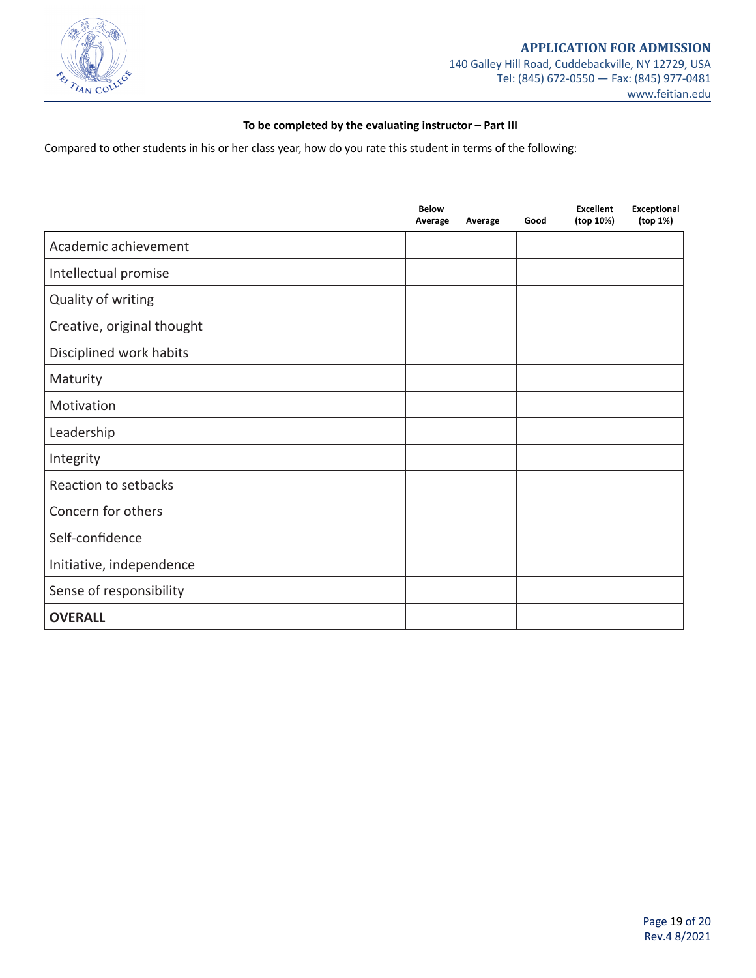

### **To be completed by the evaluating instructor – Part III**

Compared to other students in his or her class year, how do you rate this student in terms of the following:

|                            | <b>Below</b><br>Average | Average | Good | <b>Excellent</b><br>(top 10%) | Exceptional<br>(top 1%) |
|----------------------------|-------------------------|---------|------|-------------------------------|-------------------------|
| Academic achievement       |                         |         |      |                               |                         |
| Intellectual promise       |                         |         |      |                               |                         |
| Quality of writing         |                         |         |      |                               |                         |
| Creative, original thought |                         |         |      |                               |                         |
| Disciplined work habits    |                         |         |      |                               |                         |
| Maturity                   |                         |         |      |                               |                         |
| Motivation                 |                         |         |      |                               |                         |
| Leadership                 |                         |         |      |                               |                         |
| Integrity                  |                         |         |      |                               |                         |
| Reaction to setbacks       |                         |         |      |                               |                         |
| Concern for others         |                         |         |      |                               |                         |
| Self-confidence            |                         |         |      |                               |                         |
| Initiative, independence   |                         |         |      |                               |                         |
| Sense of responsibility    |                         |         |      |                               |                         |
| <b>OVERALL</b>             |                         |         |      |                               |                         |